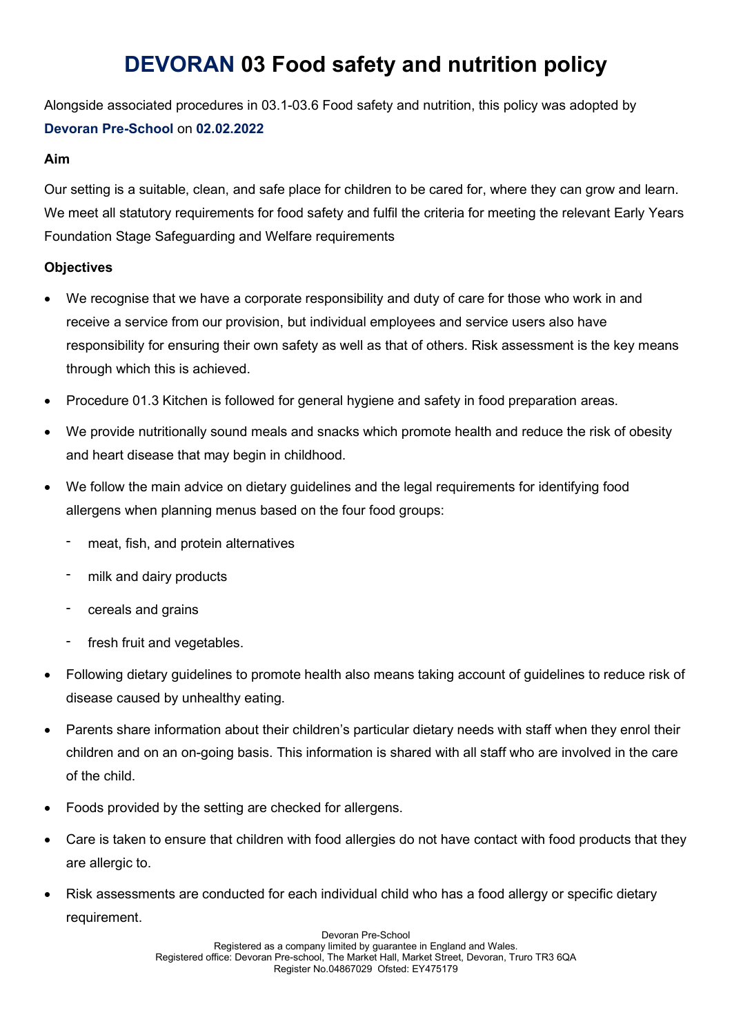# DEVORAN 03 Food safety and nutrition policy

Alongside associated procedures in 03.1-03.6 Food safety and nutrition, this policy was adopted by Devoran Pre-School on 02.02.2022

#### Aim

Our setting is a suitable, clean, and safe place for children to be cared for, where they can grow and learn. We meet all statutory requirements for food safety and fulfil the criteria for meeting the relevant Early Years Foundation Stage Safeguarding and Welfare requirements

# **Objectives**

- We recognise that we have a corporate responsibility and duty of care for those who work in and receive a service from our provision, but individual employees and service users also have responsibility for ensuring their own safety as well as that of others. Risk assessment is the key means through which this is achieved.
- Procedure 01.3 Kitchen is followed for general hygiene and safety in food preparation areas.
- We provide nutritionally sound meals and snacks which promote health and reduce the risk of obesity and heart disease that may begin in childhood.
- We follow the main advice on dietary guidelines and the legal requirements for identifying food allergens when planning menus based on the four food groups:
	- meat, fish, and protein alternatives
	- milk and dairy products
	- cereals and grains
	- fresh fruit and vegetables.
- Following dietary guidelines to promote health also means taking account of guidelines to reduce risk of disease caused by unhealthy eating.
- Parents share information about their children's particular dietary needs with staff when they enrol their children and on an on-going basis. This information is shared with all staff who are involved in the care of the child.
- Foods provided by the setting are checked for allergens.
- Care is taken to ensure that children with food allergies do not have contact with food products that they are allergic to.
- Risk assessments are conducted for each individual child who has a food allergy or specific dietary requirement.